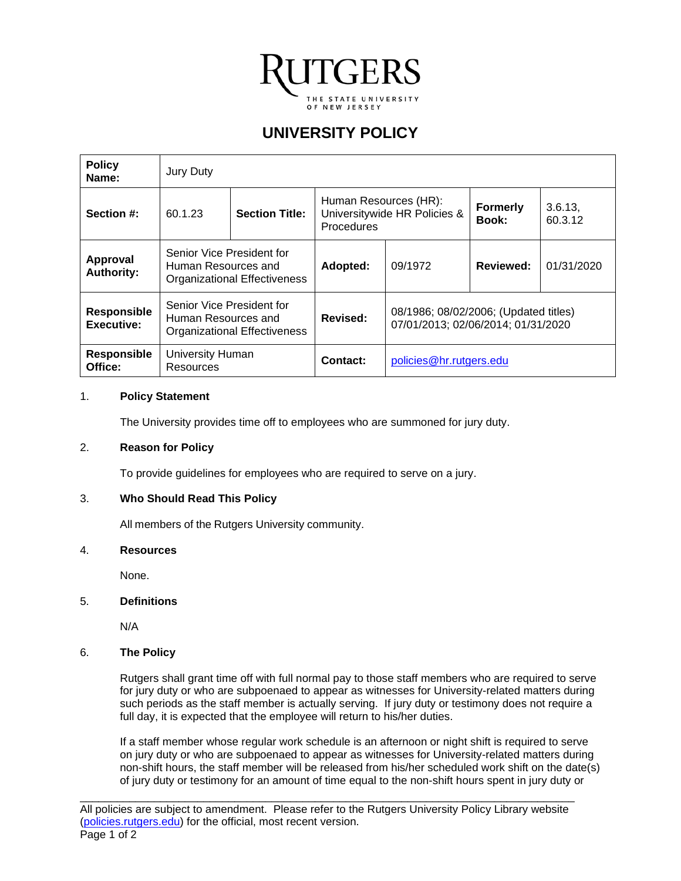

# **UNIVERSITY POLICY**

| <b>Policy</b><br>Name:                  | Jury Duty                                                                               |  |            |                                                                             |           |                    |
|-----------------------------------------|-----------------------------------------------------------------------------------------|--|------------|-----------------------------------------------------------------------------|-----------|--------------------|
| Section #:                              | <b>Section Title:</b><br>60.1.23                                                        |  | Procedures | Human Resources (HR):<br>Universitywide HR Policies &                       |           | 3.6.13,<br>60.3.12 |
| Approval<br><b>Authority:</b>           | Senior Vice President for<br>Human Resources and<br><b>Organizational Effectiveness</b> |  | Adopted:   | 09/1972                                                                     | Reviewed: | 01/31/2020         |
| <b>Responsible</b><br><b>Executive:</b> | Senior Vice President for<br>Human Resources and<br>Organizational Effectiveness        |  | Revised:   | 08/1986; 08/02/2006; (Updated titles)<br>07/01/2013; 02/06/2014; 01/31/2020 |           |                    |
| <b>Responsible</b><br>Office:           | University Human<br>Resources                                                           |  | Contact:   | policies@hr.rutgers.edu                                                     |           |                    |

#### 1. **Policy Statement**

The University provides time off to employees who are summoned for jury duty.

#### 2. **Reason for Policy**

To provide guidelines for employees who are required to serve on a jury.

## 3. **Who Should Read This Policy**

All members of the Rutgers University community.

#### 4. **Resources**

None.

## 5. **Definitions**

N/A

## 6. **The Policy**

Rutgers shall grant time off with full normal pay to those staff members who are required to serve for jury duty or who are subpoenaed to appear as witnesses for University-related matters during such periods as the staff member is actually serving. If jury duty or testimony does not require a full day, it is expected that the employee will return to his/her duties.

If a staff member whose regular work schedule is an afternoon or night shift is required to serve on jury duty or who are subpoenaed to appear as witnesses for University-related matters during non-shift hours, the staff member will be released from his/her scheduled work shift on the date(s) of jury duty or testimony for an amount of time equal to the non-shift hours spent in jury duty or